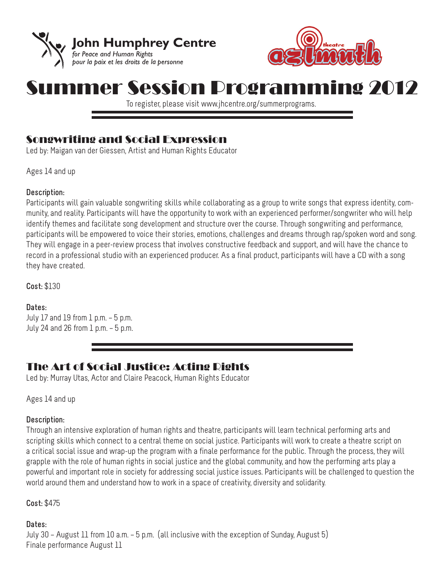



# nmer Session Programming 2012

To register, please visit www.jhcentre.org/summerprograms.

# Songwriting and Social Expression

Led by: Maigan van der Giessen, Artist and Human Rights Educator

Ages 14 and up

#### **Description:**

Participants will gain valuable songwriting skills while collaborating as a group to write songs that express identity, community, and reality. Participants will have the opportunity to work with an experienced performer/songwriter who will help identify themes and facilitate song development and structure over the course. Through songwriting and performance, participants will be empowered to voice their stories, emotions, challenges and dreams through rap/spoken word and song. They will engage in a peer-review process that involves constructive feedback and support, and will have the chance to record in a professional studio with an experienced producer. As a final product, participants will have a CD with a song they have created.

**Cost:** \$130

#### **Dates:**

July 17 and 19 from  $1$  p.m.  $-5$  p.m. July 24 and 26 from  $1$  p.m.  $-5$  p.m.

## The Art of Social Justice: Acting Rights

Led by: Murray Utas, Actor and Claire Peacock, Human Rights Educator

Ages 14 and up

#### **Description:**

Through an intensive exploration of human rights and theatre, participants will learn technical performing arts and scripting skills which connect to a central theme on social justice. Participants will work to create a theatre script on a critical social issue and wrap-up the program with a finale performance for the public. Through the process, they will grapple with the role of human rights in social justice and the global community, and how the performing arts play a powerful and important role in society for addressing social justice issues. Participants will be challenged to question the world around them and understand how to work in a space of creativity, diversity and solidarity.

**Cost:** \$475

## **Dates:**

July 30 – August 11 from 10 a.m. – 5 p.m. (all inclusive with the exception of Sunday, August 5) Finale performance August 11